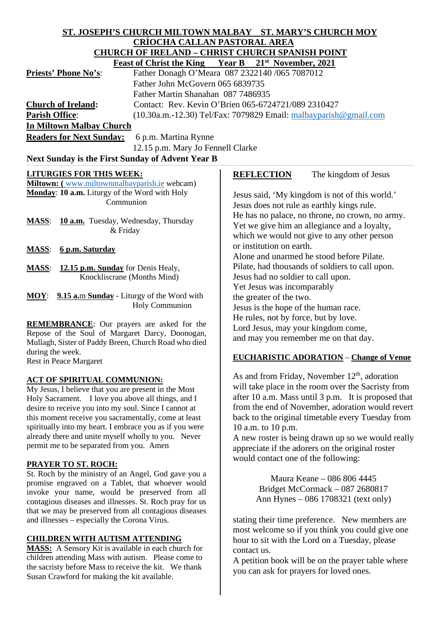#### **ST. JOSEPH'S CHURCH MILTOWN MALBAY ST. MARY'S CHURCH MOY CRÍOCHA CALLAN PASTORAL AREA CHURCH OF IRELAND – CHRIST CHURCH SPANISH POINT**<br>Feast of Christ the King – Vear B – 21<sup>st</sup> November 2021  **Feast of Christ the King Year B 21st November, 2021**

| <b>Priests' Phone No's:</b> | Father Donagh O'Meara 087 2322140 /065 7087012                      |
|-----------------------------|---------------------------------------------------------------------|
|                             | Father John McGovern 065 6839735                                    |
|                             | Father Martin Shanahan 087 7486935                                  |
| <b>Church of Ireland:</b>   | Contact: Rev. Kevin O'Brien 065-6724721/089 2310427                 |
| <b>Parish Office:</b>       | $(10.30a.m.-12.30)$ Tel/Fax: 7079829 Email: malbayparish @gmail.com |
| In Miltown Malbay Church    |                                                                     |
|                             | <b>Readers for Next Sunday:</b> 6pm Martina Rynne                   |

**Readers for Next Sunday:** 6 p.m. Martina Rynne

12.15 p.m. Mary Jo Fennell Clarke

# Next Sunday is the First Sunday of Advent Year B

## **LITURGIES FOR THIS WEEK:**

**Miltown: (** [www.miltownmalbayparish.ie](http://www.miltownmalbayparish.ie/) webcam) **Monday**: **10 a.m.** Liturgy of the Word with Holy Communion

**MASS**: **10 a.m.** Tuesday, Wednesday, Thursday & Friday

**MASS**: **6 p.m. Saturday**

**MASS**: **12.15 p.m. Sunday** for Denis Healy, Knockliscrane (Months Mind)

**MOY**: **9.15 a.**m **Sunday** - Liturgy of the Word with Holy Communion

**REMEMBRANCE**: Our prayers are asked for the Repose of the Soul of Margaret Darcy, Doonogan, Mullagh, Sister of Paddy Breen, Church Road who died during the week. Rest in Peace Margaret

### **ACT OF SPIRITUAL COMMUNION:**

My Jesus, I believe that you are present in the Most Holy Sacrament. I love you above all things, and I desire to receive you into my soul. Since I cannot at this moment receive you sacramentally, come at least spiritually into my heart. I embrace you as if you were already there and unite myself wholly to you. Never permit me to be separated from you. Amen

### **PRAYER TO ST. ROCH:**

St. Roch by the ministry of an Angel, God gave you a promise engraved on a Tablet, that whoever would invoke your name, would be preserved from all contagious diseases and illnesses. St. Roch pray for us that we may be preserved from all contagious diseases and illnesses – especially the Corona Virus.

## **CHILDREN WITH AUTISM ATTENDING**

**MASS:** A Sensory Kit is available in each church for children attending Mass with autism. Please come to the sacristy before Mass to receive the kit. We thank Susan Crawford for making the kit available.

## **REFLECTION** The kingdom of Jesus

Jesus said, 'My kingdom is not of this world.' Jesus does not rule as earthly kings rule. He has no palace, no throne, no crown, no army. Yet we give him an allegiance and a loyalty, which we would not give to any other person or institution on earth. Alone and unarmed he stood before Pilate. Pilate, had thousands of soldiers to call upon. Jesus had no soldier to call upon. Yet Jesus was incomparably the greater of the two. Jesus is the hope of the human race. He rules, not by force, but by love. Lord Jesus, may your kingdom come, and may you remember me on that day.

## **EUCHARISTIC ADORATION** – **Change of Venue**

As and from Friday, November  $12<sup>th</sup>$ , adoration will take place in the room over the Sacristy from after 10 a.m. Mass until 3 p.m. It is proposed that from the end of November, adoration would revert back to the original timetable every Tuesday from 10 a.m. to 10 p.m.

A new roster is being drawn up so we would really appreciate if the adorers on the original roster would contact one of the following:

> Maura Keane – 086 806 4445 Bridget McCormack – 087 2680817 Ann Hynes – 086 1708321 (text only)

stating their time preference. New members are most welcome so if you think you could give one hour to sit with the Lord on a Tuesday, please contact us.

A petition book will be on the prayer table where you can ask for prayers for loved ones.